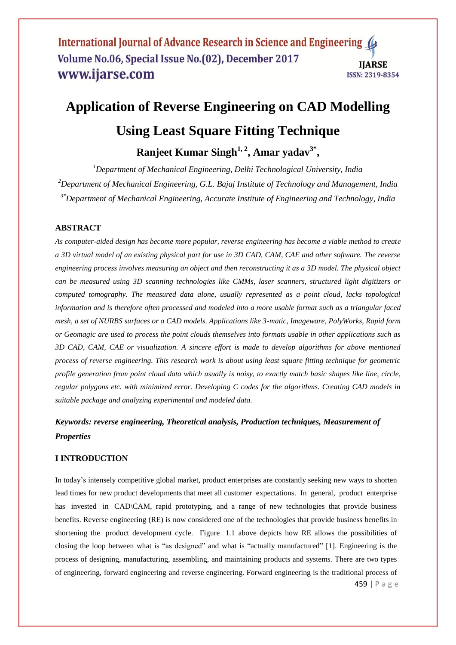## International Journal of Advance Research in Science and Engineering 4 Volume No.06, Special Issue No.(02), December 2017 **IIARSE** www.ijarse.com ISSN: 2319-8354

# **Application of Reverse Engineering on CAD Modelling Using Least Square Fitting Technique**

# **Ranjeet Kumar Singh1, 2 , Amar yadav3\* ,**

*<sup>1</sup>Department of Mechanical Engineering, Delhi Technological University, India <sup>2</sup>Department of Mechanical Engineering, G.L. Bajaj Institute of Technology and Management, India 3\*Department of Mechanical Engineering, Accurate Institute of Engineering and Technology, India*

# **ABSTRACT**

*As computer-aided design has become more popular, reverse engineering has become a viable method to create a 3D virtual model of an existing physical part for use in 3D CAD, CAM, CAE and other software. The reverse engineering process involves measuring an object and then reconstructing it as a 3D model. The physical object can be measured using 3D scanning technologies like CMMs, laser scanners, structured light digitizers or computed tomography. The measured data alone, usually represented as a point cloud, lacks topological information and is therefore often processed and modeled into a more usable format such as a triangular faced mesh, a set of NURBS surfaces or a CAD models. Applications like 3-matic, Imageware, PolyWorks, Rapid form or Geomagic are used to process the point clouds themselves into formats usable in other applications such as 3D CAD, CAM, CAE or visualization. A sincere effort is made to develop algorithms for above mentioned process of reverse engineering. This research work is about using least square fitting technique for geometric profile generation from point cloud data which usually is noisy, to exactly match basic shapes like line, circle, regular polygons etc. with minimized error. Developing C codes for the algorithms. Creating CAD models in suitable package and analyzing experimental and modeled data.*

# *Keywords: reverse engineering, Theoretical analysis, Production techniques, Measurement of Properties*

# **I INTRODUCTION**

In today's intensely competitive global market, product enterprises are constantly seeking new ways to shorten lead times for new product developments that meet all customer expectations. In general, product enterprise has invested in CAD\CAM, rapid prototyping, and a range of new technologies that provide business benefits. Reverse engineering (RE) is now considered one of the technologies that provide business benefits in shortening the product development cycle. Figure 1.1 above depicts how RE allows the possibilities of closing the loop between what is "as designed" and what is "actually manufactured" [1]. Engineering is the process of designing, manufacturing, assembling, and maintaining products and systems. There are two types of engineering, forward engineering and reverse engineering. Forward engineering is the traditional process of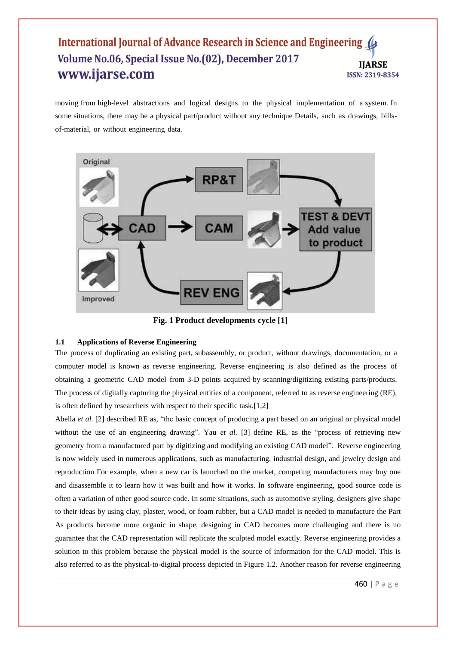# International Journal of Advance Research in Science and Engineering ( Volume No.06, Special Issue No.(02), December 2017 **IIARSE** www.ijarse.com ISSN: 2319-8354

moving from high-level abstractions and logical designs to the physical implementation of a system. In some situations, there may be a physical part/product without any technique Details, such as drawings, billsof-material, or without engineering data.



**Fig. 1 Product developments cycle [1]**

#### **1.1 Applications of Reverse Engineering**

The process of duplicating an existing part, subassembly, or product, without drawings, documentation, or a computer model is known as reverse engineering. Reverse engineering is also defined as the process of obtaining a geometric CAD model from 3-D points acquired by scanning/digitizing existing parts/products. The process of digitally capturing the physical entities of a component, referred to as reverse engineering (RE), is often defined by researchers with respect to their specific task.[1,2]

Abella *et al.* [2] described RE as, "the basic concept of producing a part based on an original or physical model without the use of an engineering drawing". Yau *et al.* [3] define RE, as the "process of retrieving new geometry from a manufactured part by digitizing and modifying an existing CAD model". Reverse engineering is now widely used in numerous applications, such as manufacturing, industrial design, and jewelry design and reproduction For example, when a new car is launched on the market, competing manufacturers may buy one and disassemble it to learn how it was built and how it works. In software engineering, good source code is often a variation of other good source code. In some situations, such as automotive styling, designers give shape to their ideas by using clay, plaster, wood, or foam rubber, but a CAD model is needed to manufacture the Part As products become more organic in shape, designing in CAD becomes more challenging and there is no guarantee that the CAD representation will replicate the sculpted model exactly. Reverse engineering provides a solution to this problem because the physical model is the source of information for the CAD model. This is also referred to as the physical-to-digital process depicted in Figure 1.2. Another reason for reverse engineering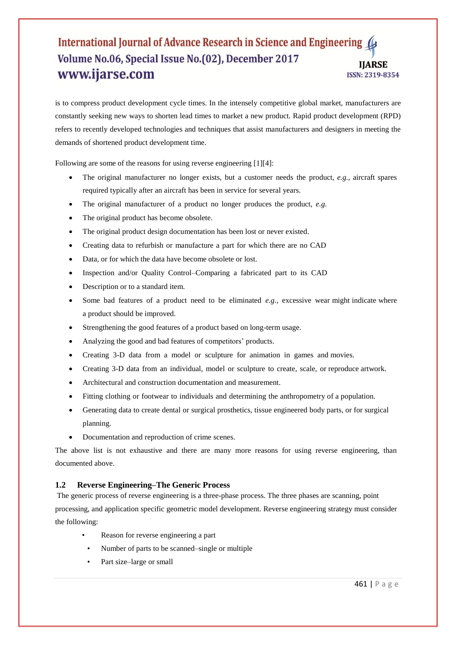# International Journal of Advance Research in Science and Engineering ( Volume No.06, Special Issue No.(02), December 2017 **IIARSE** www.ijarse.com ISSN: 2319-8354

is to compress product development cycle times. In the intensely competitive global market, manufacturers are constantly seeking new ways to shorten lead times to market a new product. Rapid product development (RPD) refers to recently developed technologies and techniques that assist manufacturers and designers in meeting the demands of shortened product development time.

Following are some of the reasons for using reverse engineering [1][4]:

- The original manufacturer no longer exists, but a customer needs the product, *e.g.*, aircraft spares required typically after an aircraft has been in service for several years.
- The original manufacturer of a product no longer produces the product, *e.g.*
- The original product has become obsolete.
- The original product design documentation has been lost or never existed.
- Creating data to refurbish or manufacture a part for which there are no CAD
- Data, or for which the data have become obsolete or lost.
- Inspection and/or Quality Control–Comparing a fabricated part to its CAD
- Description or to a standard item.
- Some bad features of a product need to be eliminated *e.g.*, excessive wear might indicate where a product should be improved.
- Strengthening the good features of a product based on long-term usage.
- Analyzing the good and bad features of competitors' products.
- Creating 3-D data from a model or sculpture for animation in games and movies.
- Creating 3-D data from an individual, model or sculpture to create, scale, or reproduce artwork.
- Architectural and construction documentation and measurement.
- Fitting clothing or footwear to individuals and determining the anthropometry of a population.
- Generating data to create dental or surgical prosthetics, tissue engineered body parts, or for surgical planning.
- Documentation and reproduction of crime scenes.

The above list is not exhaustive and there are many more reasons for using reverse engineering, than documented above.

#### **1.2 Reverse Engineering–The Generic Process**

The generic process of reverse engineering is a three-phase process. The three phases are scanning, point processing, and application specific geometric model development. Reverse engineering strategy must consider the following:

- Reason for reverse engineering a part
- Number of parts to be scanned–single or multiple
- Part size–large or small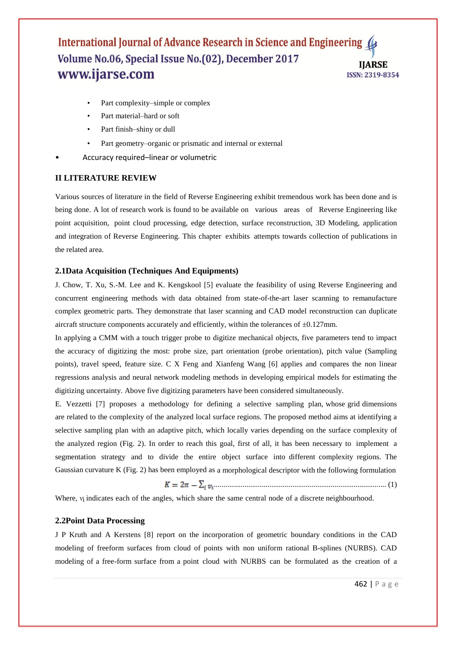# International Journal of Advance Research in Science and Engineering 4 Volume No.06, Special Issue No.(02), December 2017 **IJARSE** www.ijarse.com ISSN: 2319-8354

- Part complexity–simple or complex
- Part material–hard or soft
- Part finish-shiny or dull
- Part geometry–organic or prismatic and internal or external
- Accuracy required–linear or volumetric

#### **II LITERATURE REVIEW**

Various sources of literature in the field of Reverse Engineering exhibit tremendous work has been done and is being done. A lot of research work is found to be available on various areas of Reverse Engineering like point acquisition, point cloud processing, edge detection, surface reconstruction, 3D Modeling, application and integration of Reverse Engineering. This chapter exhibits attempts towards collection of publications in the related area.

#### **2.1Data Acquisition (Techniques And Equipments)**

J. Chow, T. Xu, S.-M. Lee and K. Kengskool [5] evaluate the feasibility of using Reverse Engineering and concurrent engineering methods with data obtained from state-of-the-art laser scanning to remanufacture complex geometric parts. They demonstrate that laser scanning and CAD model reconstruction can duplicate aircraft structure components accurately and efficiently, within the tolerances of  $\pm 0.127$  mm.

In applying a CMM with a touch trigger probe to digitize mechanical objects, five parameters tend to impact the accuracy of digitizing the most: probe size, part orientation (probe orientation), pitch value (Sampling points), travel speed, feature size. C X Feng and Xianfeng Wang [6] applies and compares the non linear regressions analysis and neural network modeling methods in developing empirical models for estimating the digitizing uncertainty. Above five digitizing parameters have been considered simultaneously.

E. Vezzetti [7] proposes a methodology for defining a selective sampling plan, whose grid dimensions are related to the complexity of the analyzed local surface regions. The proposed method aims at identifying a selective sampling plan with an adaptive pitch, which locally varies depending on the surface complexity of the analyzed region (Fig. 2). In order to reach this goal, first of all, it has been necessary to implement a segmentation strategy and to divide the entire object surface into different complexity regions. The Gaussian curvature K (Fig. 2) has been employed as a morphological descriptor with the following formulation

.......................................................................................... (1)

Where, *v*<sub>i</sub> indicates each of the angles, which share the same central node of a discrete neighbourhood.

#### **2.2Point Data Processing**

J P Kruth and A Kerstens [8] report on the incorporation of geometric boundary conditions in the CAD modeling of freeform surfaces from cloud of points with non uniform rational B-splines (NURBS). CAD modeling of a free-form surface from a point cloud with NURBS can be formulated as the creation of a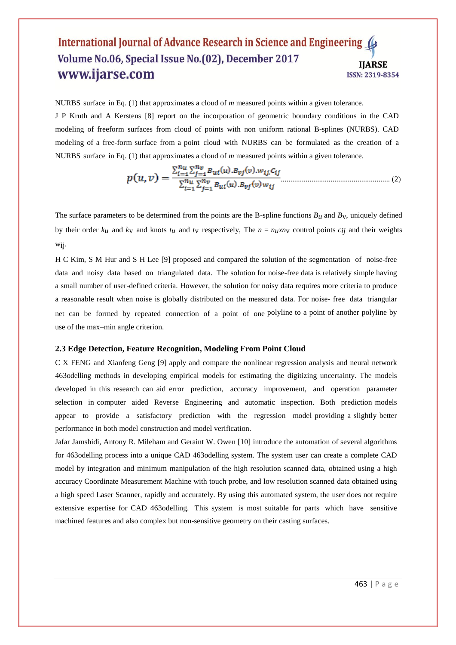#### International Journal of Advance Research in Science and Engineering ( Volume No.06, Special Issue No.(02), December 2017 **IIARSE** www.ijarse.com **ISSN: 2319-8354**

NURBS surface in Eq. (1) that approximates a cloud of *m* measured points within a given tolerance. J P Kruth and A Kerstens [8] report on the incorporation of geometric boundary conditions in the CAD modeling of freeform surfaces from cloud of points with non uniform rational B-splines (NURBS). CAD modeling of a free-form surface from a point cloud with NURBS can be formulated as the creation of a NURBS surface in Eq. (1) that approximates a cloud of *m* measured points within a given tolerance.

$$
p(u,v) = \frac{\sum_{i=1}^{n_u} \sum_{j=1}^{n_v} B_{ui}(u) . B_{vj}(v) . w_{ij}. c_{ij}}{\sum_{i=1}^{n_u} \sum_{j=1}^{n_v} B_{ui}(u) . B_{vj}(v) w_{ij}}
$$
(2)

The surface parameters to be determined from the points are the B-spline functions  $B_u$  and  $B_v$ , uniquely defined by their order  $k_u$  and  $k_v$  and knots  $t_u$  and  $t_v$  respectively, The  $n = n_u x n_v$  control points  $c_{ij}$  and their weights wij.

H C Kim, S M Hur and S H Lee [9] proposed and compared the solution of the segmentation of noise-free data and noisy data based on triangulated data. The solution for noise-free data is relatively simple having a small number of user-defined criteria. However, the solution for noisy data requires more criteria to produce a reasonable result when noise is globally distributed on the measured data. For noise- free data triangular net can be formed by repeated connection of a point of one polyline to a point of another polyline by use of the max–min angle criterion.

#### **2.3 Edge Detection, Feature Recognition, Modeling From Point Cloud**

C X FENG and Xianfeng Geng [9] apply and compare the nonlinear regression analysis and neural network 463odelling methods in developing empirical models for estimating the digitizing uncertainty. The models developed in this research can aid error prediction, accuracy improvement, and operation parameter selection in computer aided Reverse Engineering and automatic inspection. Both prediction models appear to provide a satisfactory prediction with the regression model providing a slightly better performance in both model construction and model verification.

Jafar Jamshidi, Antony R. Mileham and Geraint W. Owen [10] introduce the automation of several algorithms for 463odelling process into a unique CAD 463odelling system. The system user can create a complete CAD model by integration and minimum manipulation of the high resolution scanned data, obtained using a high accuracy Coordinate Measurement Machine with touch probe, and low resolution scanned data obtained using a high speed Laser Scanner, rapidly and accurately. By using this automated system, the user does not require extensive expertise for CAD 463odelling. This system is most suitable for parts which have sensitive machined features and also complex but non-sensitive geometry on their casting surfaces.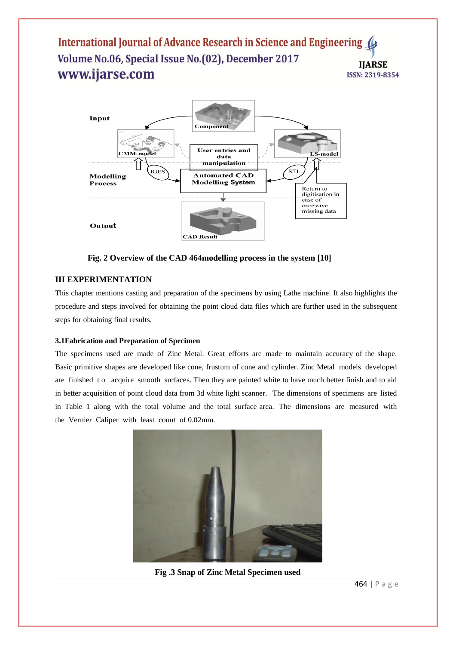# International Journal of Advance Research in Science and Engineering 4 Volume No.06, Special Issue No.(02), December 2017 **IJARSE** www.ijarse.com ISSN: 2319-8354



**Fig. 2 Overview of the CAD 464modelling process in the system [10]**

# **III EXPERIMENTATION**

This chapter mentions casting and preparation of the specimens by using Lathe machine. It also highlights the procedure and steps involved for obtaining the point cloud data files which are further used in the subsequent steps for obtaining final results.

# **3.1Fabrication and Preparation of Specimen**

The specimens used are made of Zinc Metal. Great efforts are made to maintain accuracy of the shape. Basic primitive shapes are developed like cone, frustum of cone and cylinder. Zinc Metal models developed are finished to acquire smooth surfaces. Then they are painted white to have much better finish and to aid in better acquisition of point cloud data from 3d white light scanner. The dimensions of specimens are listed in Table 1 along with the total volume and the total surface area. The dimensions are measured with the Vernier Caliper with least count of 0.02mm.



**Fig .3 Snap of Zinc Metal Specimen used**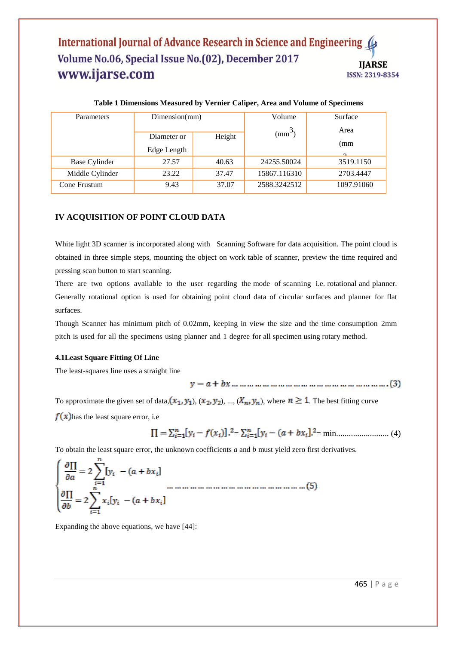# International Journal of Advance Research in Science and Engineering Volume No.06, Special Issue No.(02), December 2017 **IJARSE** www.ijarse.com ISSN: 2319-8354

| Parameters      | Dimension(mm) |        | Volume                    | Surface    |
|-----------------|---------------|--------|---------------------------|------------|
|                 |               |        | $\text{mm}^{\rightarrow}$ | Area       |
|                 | Diameter or   | Height |                           | (mm        |
|                 | Edge Length   |        |                           | $\sim$     |
| Base Cylinder   | 27.57         | 40.63  | 24255.50024               | 3519.1150  |
| Middle Cylinder | 23.22         | 37.47  | 15867.116310              | 2703.4447  |
| Cone Frustum    | 9.43          | 37.07  | 2588.3242512              | 1097.91060 |

#### **Table 1 Dimensions Measured by Vernier Caliper, Area and Volume of Specimens**

# **IV ACQUISITION OF POINT CLOUD DATA**

White light 3D scanner is incorporated along with Scanning Software for data acquisition. The point cloud is obtained in three simple steps, mounting the object on work table of scanner, preview the time required and pressing scan button to start scanning.

There are two options available to the user regarding the mode of scanning i.e. rotational and planner. Generally rotational option is used for obtaining point cloud data of circular surfaces and planner for flat surfaces.

Though Scanner has minimum pitch of 0.02mm, keeping in view the size and the time consumption 2mm pitch is used for all the specimens using planner and 1 degree for all specimen using rotary method.

#### **4.1Least Square Fitting Of Line**

The least-squares line uses a straight line

To approximate the given set of data,  $(x_1, y_1)$ ,  $(x_2, y_2)$ , ...,  $(X_n, y_n)$ , where  $n \ge 1$ . The best fitting curve

 $f(x)$  has the least square error, i.e

= = min......................... (4)

To obtain the least square error, the unknown coefficients *a* and *b* must yield zero first derivatives.

$$
\begin{cases}\n\frac{\partial \Pi}{\partial a} = 2 \sum_{i=1}^{n} [y_i - (a + bx_i)] \\
\frac{\partial \Pi}{\partial b} = 2 \sum_{i=1}^{n} x_i [y_i - (a + bx_i)]\n\end{cases}
$$

Expanding the above equations, we have [44]: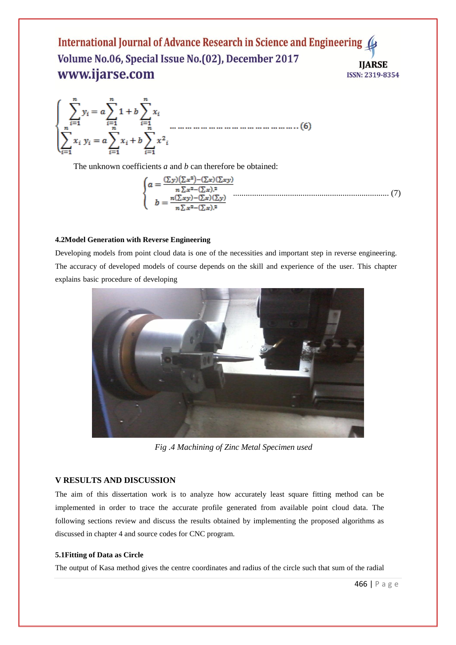## International Journal of Advance Research in Science and Engineering Volume No.06, Special Issue No.(02), December 2017 **IIARSE** www.ijarse.com ISSN: 2319-8354

The unknown coefficients *a* and *b* can therefore be obtained:

$$
\begin{cases}\na = \frac{(\sum y)(\sum x^2) - (\sum x)(\sum xy)}{n \sum x^2 - (\sum x)^2} \\
b = \frac{n(\sum xy) - (\sum x)(\sum y)}{n \sum x^2 - (\sum x)^2}\n\end{cases} \tag{7}
$$

#### **4.2Model Generation with Reverse Engineering**

Developing models from point cloud data is one of the necessities and important step in reverse engineering. The accuracy of developed models of course depends on the skill and experience of the user. This chapter explains basic procedure of developing



*Fig .4 Machining of Zinc Metal Specimen used*

#### **V RESULTS AND DISCUSSION**

The aim of this dissertation work is to analyze how accurately least square fitting method can be implemented in order to trace the accurate profile generated from available point cloud data. The following sections review and discuss the results obtained by implementing the proposed algorithms as discussed in chapter 4 and source codes for CNC program.

#### **5.1Fitting of Data as Circle**

The output of Kasa method gives the centre coordinates and radius of the circle such that sum of the radial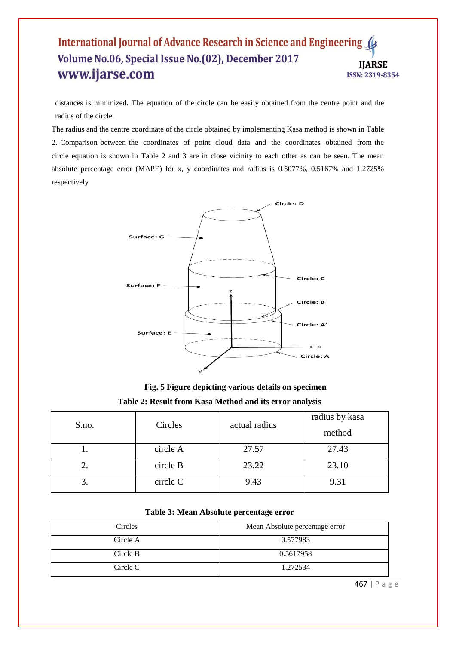# International Journal of Advance Research in Science and Engineering Volume No.06, Special Issue No.(02), December 2017 **IIARSE** www.ijarse.com ISSN: 2319-8354

distances is minimized. The equation of the circle can be easily obtained from the centre point and the radius of the circle.

The radius and the centre coordinate of the circle obtained by implementing Kasa method is shown in Table 2. Comparison between the coordinates of point cloud data and the coordinates obtained from the circle equation is shown in Table 2 and 3 are in close vicinity to each other as can be seen. The mean absolute percentage error (MAPE) for x, y coordinates and radius is 0.5077%, 0.5167% and 1.2725% respectively



**Fig. 5 Figure depicting various details on specimen Table 2: Result from Kasa Method and its error analysis**

| S.no. | Circles  | actual radius | radius by kasa<br>method |
|-------|----------|---------------|--------------------------|
|       | circle A | 27.57         | 27.43                    |
| ۷.    | circle B | 23.22         | 23.10                    |
|       | circle C | 9.43          | 9.31                     |

#### **Table 3: Mean Absolute percentage error**

| Circles  | Mean Absolute percentage error |  |
|----------|--------------------------------|--|
| Circle A | 0.577983                       |  |
| Circle B | 0.5617958                      |  |
| Circle C | 1.272534                       |  |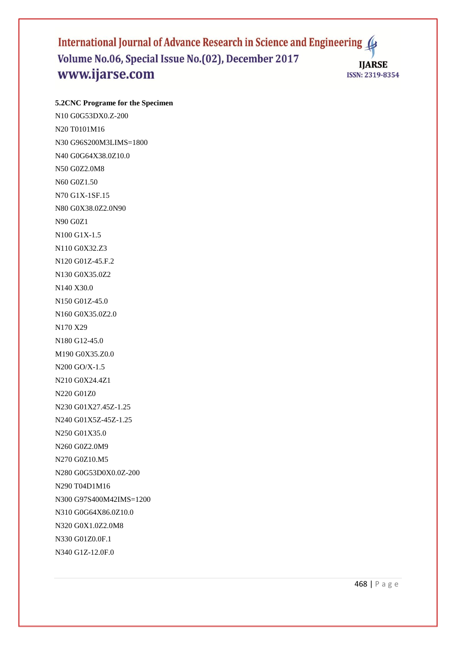# International Journal of Advance Research in Science and Engineering ( Volume No.06, Special Issue No.(02), December 2017 **IJARSE** www.ijarse.com ISSN: 2319-8354

**5.2CNC Programe for the Specimen**

N10 G0G53DX0.Z-200 N20 T0101M16 N30 G96S200M3LIMS=1800 N40 G0G64X38.0Z10.0 N50 G0Z2.0M8 N60 G0Z1.50 N70 G1X-1SF.15 N80 G0X38.0Z2.0N90 N90 G0Z1 N100 G1X-1.5 N110 G0X32.Z3 N120 G01Z-45.F.2 N130 G0X35.0Z2 N140 X30.0 N150 G01Z-45.0 N160 G0X35.0Z2.0 N170 X29 N180 G12-45.0 M190 G0X35.Z0.0 N200 GO/X-1.5 N210 G0X24.4Z1 N220 G01Z0 N230 G01X27.45Z-1.25 N240 G01X5Z-45Z-1.25 N250 G01X35.0 N260 G0Z2.0M9 N270 G0Z10.M5 N280 G0G53D0X0.0Z-200 N290 T04D1M16 N300 G97S400M42IMS=1200 N310 G0G64X86.0Z10.0 N320 G0X1.0Z2.0M8 N330 G01Z0.0F.1 N340 G1Z-12.0F.0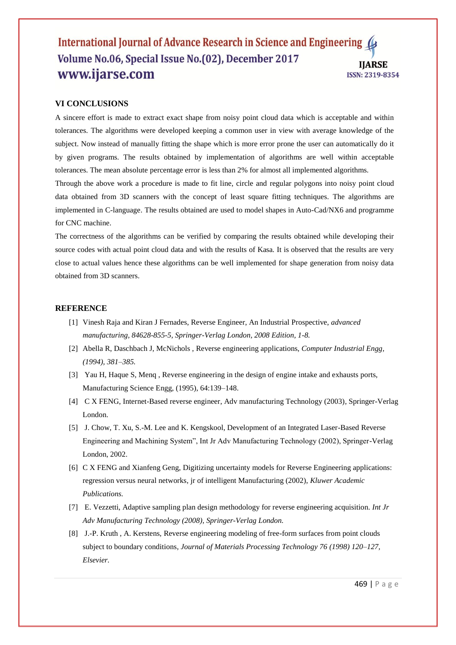## International Journal of Advance Research in Science and Engineering 4 Volume No.06, Special Issue No.(02), December 2017 **IIARSE** www.ijarse.com **ISSN: 2319-8354**

### **VI CONCLUSIONS**

A sincere effort is made to extract exact shape from noisy point cloud data which is acceptable and within tolerances. The algorithms were developed keeping a common user in view with average knowledge of the subject. Now instead of manually fitting the shape which is more error prone the user can automatically do it by given programs. The results obtained by implementation of algorithms are well within acceptable tolerances. The mean absolute percentage error is less than 2% for almost all implemented algorithms.

Through the above work a procedure is made to fit line, circle and regular polygons into noisy point cloud data obtained from 3D scanners with the concept of least square fitting techniques. The algorithms are implemented in C-language. The results obtained are used to model shapes in Auto-Cad/NX6 and programme for CNC machine.

The correctness of the algorithms can be verified by comparing the results obtained while developing their source codes with actual point cloud data and with the results of Kasa. It is observed that the results are very close to actual values hence these algorithms can be well implemented for shape generation from noisy data obtained from 3D scanners.

#### **REFERENCE**

- [1] Vinesh Raja and Kiran J Fernades, Reverse Engineer, An Industrial Prospective, *advanced manufacturing, 84628-855-5, Springer-Verlag London, 2008 Edition, 1-8.*
- [2] Abella R, Daschbach J, McNichols , Reverse engineering applications, *Computer Industrial Engg, (1994), 381–385.*
- [3] Yau H, Haque S, Menq , Reverse engineering in the design of engine intake and exhausts ports, Manufacturing Science Engg, (1995), 64:139–148.
- [4] C X FENG, Internet-Based reverse engineer, Adv manufacturing Technology (2003), Springer-Verlag London.
- [5] J. Chow, T. Xu, S.-M. Lee and K. Kengskool, Development of an Integrated Laser-Based Reverse Engineering and Machining System", Int Jr Adv Manufacturing Technology (2002), Springer-Verlag London, 2002.
- [6] C X FENG and Xianfeng Geng, Digitizing uncertainty models for Reverse Engineering applications: regression versus neural networks, jr of intelligent Manufacturing (2002), *Kluwer Academic Publications.*
- [7] E. Vezzetti, Adaptive sampling plan design methodology for reverse engineering acquisition. *Int Jr Adv Manufacturing Technology (2008), Springer-Verlag London.*
- [8] J.-P. Kruth , A. Kerstens, Reverse engineering modeling of free-form surfaces from point clouds subject to boundary conditions, *Journal of Materials Processing Technology 76 (1998) 120–127, Elsevier.*